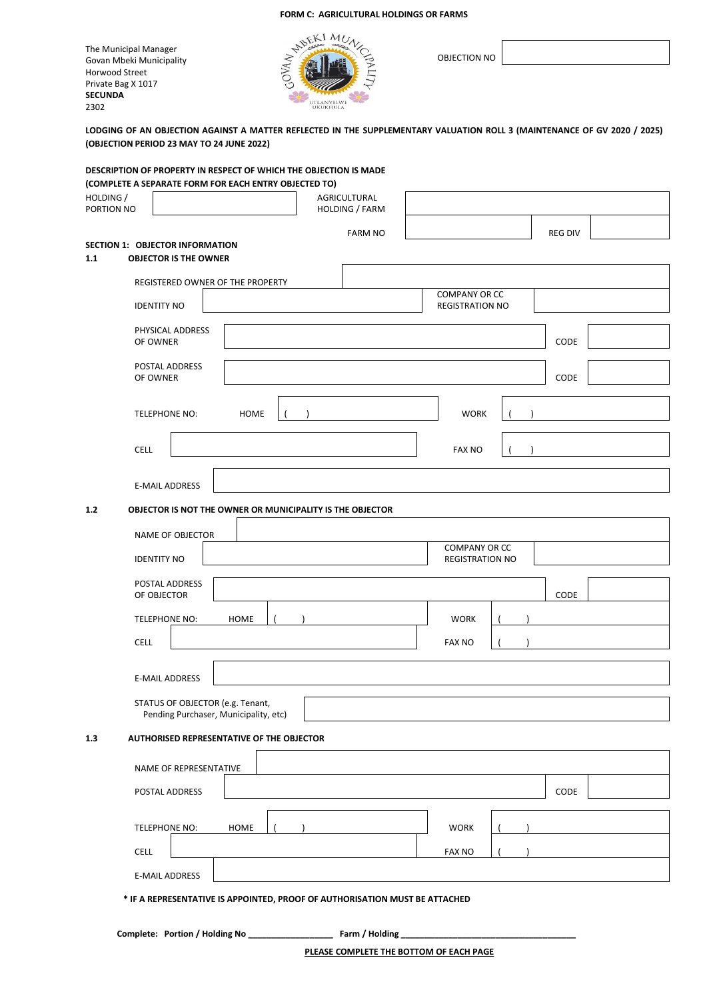The Municipal Manager Govan Mbeki Municipality Horwood Street Private Bag X 1017 **SECUNDA** 2302



OBJECTION NO

**LODGING OF AN OBJECTION AGAINST A MATTER REFLECTED IN THE SUPPLEMENTARY VALUATION ROLL 3 (MAINTENANCE OF GV 2020 / 2025) (OBJECTION PERIOD 23 MAY TO 24 JUNE 2022)**

| DESCRIPTION OF PROPERTY IN RESPECT OF WHICH THE OBJECTION IS MADE<br>(COMPLETE A SEPARATE FORM FOR EACH ENTRY OBJECTED TO) |                                       |                                                |                |
|----------------------------------------------------------------------------------------------------------------------------|---------------------------------------|------------------------------------------------|----------------|
| HOLDING /<br>PORTION NO                                                                                                    | AGRICULTURAL<br><b>HOLDING / FARM</b> |                                                |                |
|                                                                                                                            | <b>FARM NO</b>                        |                                                | <b>REG DIV</b> |
| <b>SECTION 1: OBJECTOR INFORMATION</b><br>1.1<br><b>OBJECTOR IS THE OWNER</b>                                              |                                       |                                                |                |
| REGISTERED OWNER OF THE PROPERTY                                                                                           |                                       |                                                |                |
| <b>IDENTITY NO</b>                                                                                                         |                                       | <b>COMPANY OR CC</b><br><b>REGISTRATION NO</b> |                |
| PHYSICAL ADDRESS<br>OF OWNER                                                                                               |                                       |                                                | CODE           |
| POSTAL ADDRESS<br>OF OWNER                                                                                                 |                                       |                                                | CODE           |
| TELEPHONE NO:<br>HOME                                                                                                      |                                       | <b>WORK</b>                                    |                |
| <b>CELL</b>                                                                                                                |                                       | <b>FAX NO</b>                                  |                |
| <b>E-MAIL ADDRESS</b>                                                                                                      |                                       |                                                |                |
| $1.2$<br>OBJECTOR IS NOT THE OWNER OR MUNICIPALITY IS THE OBJECTOR                                                         |                                       |                                                |                |
| NAME OF OBJECTOR                                                                                                           |                                       |                                                |                |
| <b>IDENTITY NO</b>                                                                                                         |                                       | <b>COMPANY OR CC</b><br><b>REGISTRATION NO</b> |                |
| POSTAL ADDRESS<br>OF OBJECTOR                                                                                              |                                       |                                                | CODE           |
| TELEPHONE NO:<br><b>HOME</b>                                                                                               |                                       | <b>WORK</b>                                    |                |
| <b>CELL</b>                                                                                                                |                                       | <b>FAX NO</b>                                  |                |
| <b>E-MAIL ADDRESS</b>                                                                                                      |                                       |                                                |                |
| STATUS OF OBJECTOR (e.g. Tenant,<br>Pending Purchaser, Municipality, etc)                                                  |                                       |                                                |                |
| AUTHORISED REPRESENTATIVE OF THE OBJECTOR<br>1.3                                                                           |                                       |                                                |                |
| NAME OF REPRESENTATIVE                                                                                                     |                                       |                                                |                |
| POSTAL ADDRESS                                                                                                             |                                       |                                                | CODE           |
| <b>TELEPHONE NO:</b><br><b>HOME</b>                                                                                        |                                       | <b>WORK</b>                                    |                |
| CELL                                                                                                                       |                                       | <b>FAX NO</b>                                  |                |
| <b>E-MAIL ADDRESS</b>                                                                                                      |                                       |                                                |                |
|                                                                                                                            |                                       |                                                |                |

 **\* IF A REPRESENTATIVE IS APPOINTED, PROOF OF AUTHORISATION MUST BE ATTACHED**

**Complete: Portion / Holding No \_\_\_\_\_\_\_\_\_\_\_\_\_\_\_\_\_\_ Farm / Holding \_\_\_\_\_\_\_\_\_\_\_\_\_\_\_\_\_\_\_\_\_\_\_\_\_\_\_\_\_\_\_\_\_\_\_\_\_**

**PLEASE COMPLETE THE BOTTOM OF EACH PAGE**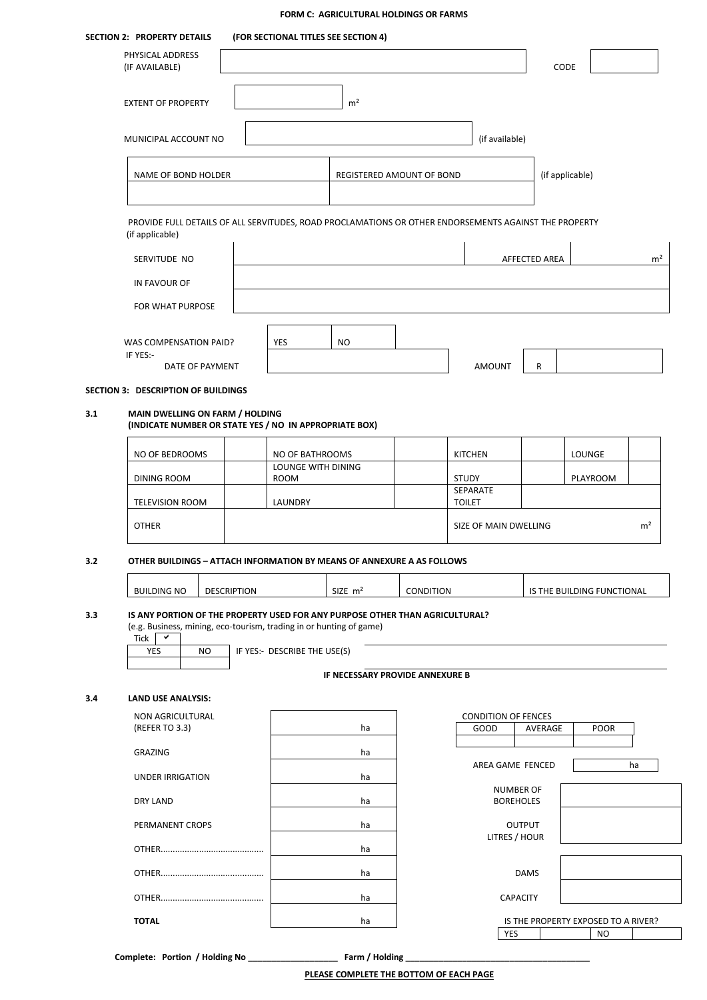|                         | <b>SECTION 2: PROPERTY DETAILS</b>                                                                                                                                                                                                                                 |                    | (FOR SECTIONAL TITLES SEE SECTION 4) |                                         |                                      |                                    |                 |                                                  |                |
|-------------------------|--------------------------------------------------------------------------------------------------------------------------------------------------------------------------------------------------------------------------------------------------------------------|--------------------|--------------------------------------|-----------------------------------------|--------------------------------------|------------------------------------|-----------------|--------------------------------------------------|----------------|
|                         | PHYSICAL ADDRESS<br>(IF AVAILABLE)                                                                                                                                                                                                                                 |                    |                                      |                                         |                                      |                                    | CODE            |                                                  |                |
|                         | <b>EXTENT OF PROPERTY</b>                                                                                                                                                                                                                                          |                    |                                      | m <sup>2</sup>                          |                                      |                                    |                 |                                                  |                |
|                         | MUNICIPAL ACCOUNT NO                                                                                                                                                                                                                                               |                    |                                      |                                         |                                      | (if available)                     |                 |                                                  |                |
|                         | NAME OF BOND HOLDER                                                                                                                                                                                                                                                |                    |                                      | REGISTERED AMOUNT OF BOND               |                                      |                                    | (if applicable) |                                                  |                |
|                         | PROVIDE FULL DETAILS OF ALL SERVITUDES, ROAD PROCLAMATIONS OR OTHER ENDORSEMENTS AGAINST THE PROPERTY                                                                                                                                                              |                    |                                      |                                         |                                      |                                    |                 |                                                  |                |
|                         | (if applicable)<br>SERVITUDE NO                                                                                                                                                                                                                                    |                    |                                      |                                         |                                      |                                    | AFFECTED AREA   |                                                  | m <sup>2</sup> |
|                         | IN FAVOUR OF                                                                                                                                                                                                                                                       |                    |                                      |                                         |                                      |                                    |                 |                                                  |                |
|                         | FOR WHAT PURPOSE                                                                                                                                                                                                                                                   |                    |                                      |                                         |                                      |                                    |                 |                                                  |                |
|                         | WAS COMPENSATION PAID?<br>IF YES:-                                                                                                                                                                                                                                 |                    | YES                                  | <b>NO</b>                               |                                      |                                    |                 |                                                  |                |
|                         | DATE OF PAYMENT                                                                                                                                                                                                                                                    |                    |                                      |                                         |                                      | <b>AMOUNT</b>                      | R               |                                                  |                |
|                         | SECTION 3: DESCRIPTION OF BUILDINGS                                                                                                                                                                                                                                |                    |                                      |                                         |                                      |                                    |                 |                                                  |                |
| 3.1                     | MAIN DWELLING ON FARM / HOLDING<br>(INDICATE NUMBER OR STATE YES / NO IN APPROPRIATE BOX)                                                                                                                                                                          |                    |                                      |                                         |                                      |                                    |                 |                                                  |                |
|                         | NO OF BEDROOMS                                                                                                                                                                                                                                                     |                    | NO OF BATHROOMS                      |                                         |                                      | <b>KITCHEN</b>                     |                 | LOUNGE                                           |                |
|                         | DINING ROOM                                                                                                                                                                                                                                                        |                    | LOUNGE WITH DINING<br><b>ROOM</b>    |                                         |                                      | <b>STUDY</b>                       |                 | PLAYROOM                                         |                |
|                         | <b>TELEVISION ROOM</b>                                                                                                                                                                                                                                             |                    | LAUNDRY                              |                                         |                                      | SEPARATE<br><b>TOILET</b>          |                 |                                                  |                |
|                         | <b>OTHER</b>                                                                                                                                                                                                                                                       |                    |                                      |                                         |                                      | SIZE OF MAIN DWELLING              |                 |                                                  | m <sup>2</sup> |
| 3.2                     | OTHER BUILDINGS - ATTACH INFORMATION BY MEANS OF ANNEXURE A AS FOLLOWS                                                                                                                                                                                             |                    |                                      |                                         |                                      |                                    |                 |                                                  |                |
|                         | <b>BUILDING NO</b>                                                                                                                                                                                                                                                 | <b>DESCRIPTION</b> |                                      | $SIZE$ $m2$                             | CONDITION                            |                                    |                 | IS THE BUILDING FUNCTIONAL                       |                |
| 3.3                     | IS ANY PORTION OF THE PROPERTY USED FOR ANY PURPOSE OTHER THAN AGRICULTURAL?<br>(e.g. Business, mining, eco-tourism, trading in or hunting of game)<br>Tick<br>$\checkmark$<br>IF YES:- DESCRIBE THE USE(S)<br>YES<br><b>NO</b><br>IF NECESSARY PROVIDE ANNEXURE B |                    |                                      |                                         |                                      |                                    |                 |                                                  |                |
| 3.4                     | <b>LAND USE ANALYSIS:</b>                                                                                                                                                                                                                                          |                    |                                      |                                         |                                      |                                    |                 |                                                  |                |
|                         | NON AGRICULTURAL<br>(REFER TO 3.3)                                                                                                                                                                                                                                 |                    |                                      | ha                                      |                                      | <b>CONDITION OF FENCES</b><br>GOOD | AVERAGE         | <b>POOR</b>                                      |                |
|                         | <b>GRAZING</b>                                                                                                                                                                                                                                                     |                    |                                      | ha                                      |                                      |                                    |                 |                                                  |                |
| <b>UNDER IRRIGATION</b> |                                                                                                                                                                                                                                                                    | ha                 |                                      |                                         | AREA GAME FENCED<br><b>NUMBER OF</b> |                                    |                 | ha                                               |                |
|                         | <b>DRY LAND</b>                                                                                                                                                                                                                                                    |                    |                                      | ha                                      |                                      | <b>BOREHOLES</b>                   |                 |                                                  |                |
|                         | PERMANENT CROPS                                                                                                                                                                                                                                                    |                    |                                      | ha                                      |                                      | LITRES / HOUR                      | <b>OUTPUT</b>   |                                                  |                |
|                         |                                                                                                                                                                                                                                                                    |                    |                                      | ha                                      |                                      |                                    |                 |                                                  |                |
|                         |                                                                                                                                                                                                                                                                    |                    |                                      | ha                                      |                                      |                                    | <b>DAMS</b>     |                                                  |                |
|                         |                                                                                                                                                                                                                                                                    |                    |                                      | ha                                      |                                      | <b>CAPACITY</b>                    |                 |                                                  |                |
|                         | <b>TOTAL</b>                                                                                                                                                                                                                                                       |                    |                                      | ha                                      |                                      | YES                                |                 | IS THE PROPERTY EXPOSED TO A RIVER?<br><b>NO</b> |                |
|                         |                                                                                                                                                                                                                                                                    |                    |                                      |                                         |                                      |                                    |                 |                                                  |                |
|                         |                                                                                                                                                                                                                                                                    |                    |                                      | PLEASE COMPLETE THE BOTTOM OF EACH PAGE |                                      |                                    |                 |                                                  |                |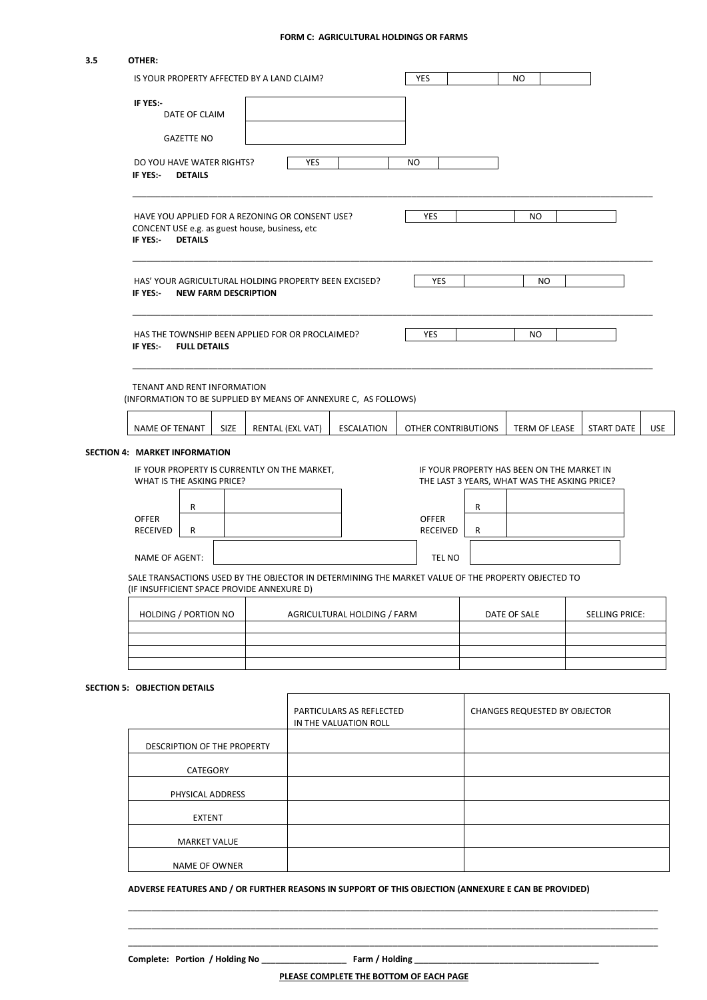| 3.5 | OTHER:                                                                                                                                                                                                                              |                     |      |  |                  |                                                   |                                       |                                 |                     |                                                                                            |                   |            |
|-----|-------------------------------------------------------------------------------------------------------------------------------------------------------------------------------------------------------------------------------------|---------------------|------|--|------------------|---------------------------------------------------|---------------------------------------|---------------------------------|---------------------|--------------------------------------------------------------------------------------------|-------------------|------------|
|     | IS YOUR PROPERTY AFFECTED BY A LAND CLAIM?                                                                                                                                                                                          |                     |      |  | YES              |                                                   |                                       | NO                              |                     |                                                                                            |                   |            |
|     | IF YES:-                                                                                                                                                                                                                            | DATE OF CLAIM       |      |  |                  |                                                   |                                       |                                 |                     |                                                                                            |                   |            |
|     |                                                                                                                                                                                                                                     | <b>GAZETTE NO</b>   |      |  |                  |                                                   |                                       |                                 |                     |                                                                                            |                   |            |
|     | DO YOU HAVE WATER RIGHTS?<br>IF YES:-<br><b>DETAILS</b>                                                                                                                                                                             |                     |      |  | YES              |                                                   | NO                                    |                                 |                     |                                                                                            |                   |            |
|     | HAVE YOU APPLIED FOR A REZONING OR CONSENT USE?<br>CONCENT USE e.g. as guest house, business, etc<br>IF YES:-<br><b>DETAILS</b><br>HAS' YOUR AGRICULTURAL HOLDING PROPERTY BEEN EXCISED?<br>IF YES:-<br><b>NEW FARM DESCRIPTION</b> |                     |      |  |                  |                                                   |                                       | YES                             |                     | NO.                                                                                        |                   |            |
|     |                                                                                                                                                                                                                                     |                     |      |  |                  |                                                   |                                       | YES                             |                     | NO                                                                                         |                   |            |
|     | HAS THE TOWNSHIP BEEN APPLIED FOR OR PROCLAIMED?<br>IF YES:-                                                                                                                                                                        | <b>FULL DETAILS</b> |      |  |                  |                                                   |                                       | YES                             |                     | NO.                                                                                        |                   |            |
|     | TENANT AND RENT INFORMATION<br>(INFORMATION TO BE SUPPLIED BY MEANS OF ANNEXURE C, AS FOLLOWS)                                                                                                                                      |                     |      |  |                  |                                                   |                                       |                                 |                     |                                                                                            |                   |            |
|     | NAME OF TENANT                                                                                                                                                                                                                      |                     | SIZE |  | RENTAL (EXL VAT) | <b>ESCALATION</b>                                 |                                       |                                 | OTHER CONTRIBUTIONS | <b>TERM OF LEASE</b>                                                                       | <b>START DATE</b> | <b>USE</b> |
|     | SECTION 4: MARKET INFORMATION                                                                                                                                                                                                       |                     |      |  |                  |                                                   |                                       |                                 |                     |                                                                                            |                   |            |
|     | IF YOUR PROPERTY IS CURRENTLY ON THE MARKET,<br>WHAT IS THE ASKING PRICE?                                                                                                                                                           |                     |      |  |                  |                                                   |                                       |                                 |                     | IF YOUR PROPERTY HAS BEEN ON THE MARKET IN<br>THE LAST 3 YEARS, WHAT WAS THE ASKING PRICE? |                   |            |
|     |                                                                                                                                                                                                                                     | R                   |      |  |                  |                                                   |                                       |                                 | R                   |                                                                                            |                   |            |
|     | <b>OFFER</b><br><b>RECEIVED</b>                                                                                                                                                                                                     | R                   |      |  |                  |                                                   |                                       | <b>OFFER</b><br><b>RECEIVED</b> | R                   |                                                                                            |                   |            |
|     | NAME OF AGENT:                                                                                                                                                                                                                      |                     |      |  |                  |                                                   |                                       | TEL NO                          |                     |                                                                                            |                   |            |
|     | SALE TRANSACTIONS USED BY THE OBJECTOR IN DETERMINING THE MARKET VALUE OF THE PROPERTY OBJECTED TO<br>(IF INSUFFICIENT SPACE PROVIDE ANNEXURE D)                                                                                    |                     |      |  |                  |                                                   |                                       |                                 |                     |                                                                                            |                   |            |
|     | HOLDING / PORTION NO<br>AGRICULTURAL HOLDING / FARM                                                                                                                                                                                 |                     |      |  |                  |                                                   | DATE OF SALE<br><b>SELLING PRICE:</b> |                                 |                     |                                                                                            |                   |            |
|     |                                                                                                                                                                                                                                     |                     |      |  |                  |                                                   |                                       |                                 |                     |                                                                                            |                   |            |
|     | <b>SECTION 5: OBJECTION DETAILS</b>                                                                                                                                                                                                 |                     |      |  |                  |                                                   |                                       |                                 |                     |                                                                                            |                   |            |
|     |                                                                                                                                                                                                                                     |                     |      |  |                  | PARTICULARS AS REFLECTED<br>IN THE VALUATION ROLL |                                       |                                 |                     | <b>CHANGES REQUESTED BY OBJECTOR</b>                                                       |                   |            |
|     |                                                                                                                                                                                                                                     |                     |      |  |                  |                                                   |                                       |                                 |                     |                                                                                            |                   |            |

| DESCRIPTION OF THE PROPERTY |  |
|-----------------------------|--|
| CATEGORY                    |  |
| PHYSICAL ADDRESS            |  |
| <b>EXTENT</b>               |  |
| <b>MARKET VALUE</b>         |  |
| NAME OF OWNER               |  |

## **ADVERSE FEATURES AND / OR FURTHER REASONS IN SUPPORT OF THIS OBJECTION (ANNEXURE E CAN BE PROVIDED)**

**Complete: Portion / Holding No \_\_\_\_\_\_\_\_\_\_\_\_\_\_\_\_\_\_ Farm / Holding \_\_\_\_\_\_\_\_\_\_\_\_\_\_\_\_\_\_\_\_\_\_\_\_\_\_\_\_\_\_\_\_\_\_\_\_\_\_\_**

\_\_\_\_\_\_\_\_\_\_\_\_\_\_\_\_\_\_\_\_\_\_\_\_\_\_\_\_\_\_\_\_\_\_\_\_\_\_\_\_\_\_\_\_\_\_\_\_\_\_\_\_\_\_\_\_\_\_\_\_\_\_\_\_\_\_\_\_\_\_\_\_\_\_\_\_\_\_\_\_\_\_\_\_\_\_\_\_\_\_\_\_\_\_\_\_\_\_\_\_\_\_\_\_\_\_\_\_\_\_\_\_ \_\_\_\_\_\_\_\_\_\_\_\_\_\_\_\_\_\_\_\_\_\_\_\_\_\_\_\_\_\_\_\_\_\_\_\_\_\_\_\_\_\_\_\_\_\_\_\_\_\_\_\_\_\_\_\_\_\_\_\_\_\_\_\_\_\_\_\_\_\_\_\_\_\_\_\_\_\_\_\_\_\_\_\_\_\_\_\_\_\_\_\_\_\_\_\_\_\_\_\_\_\_\_\_\_\_\_\_\_\_\_\_ \_\_\_\_\_\_\_\_\_\_\_\_\_\_\_\_\_\_\_\_\_\_\_\_\_\_\_\_\_\_\_\_\_\_\_\_\_\_\_\_\_\_\_\_\_\_\_\_\_\_\_\_\_\_\_\_\_\_\_\_\_\_\_\_\_\_\_\_\_\_\_\_\_\_\_\_\_\_\_\_\_\_\_\_\_\_\_\_\_\_\_\_\_\_\_\_\_\_\_\_\_\_\_\_\_\_\_\_\_\_\_\_

**PLEASE COMPLETE THE BOTTOM OF EACH PAGE**